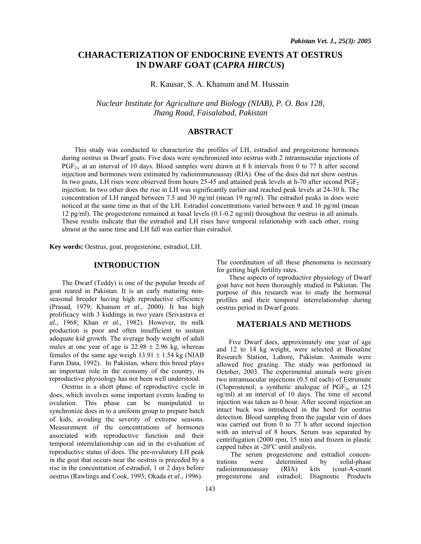# **CHARACTERIZATION OF ENDOCRINE EVENTS AT OESTRUS IN DWARF GOAT (***CAPRA HIRCUS***)**

### R. Kausar, S. A. Khanum and M. Hussain

*Nuclear Institute for Agriculture and Biology (NIAB), P. O. Box 128, Jhang Road, Faisalabad, Pakistan* 

## **ABSTRACT**

This study was conducted to characterize the profiles of LH, estradiol and progesterone hormones during oestrus in Dwarf goats. Five does were synchronized into oestrus with 2 intramuscular injections of PGF<sub>2∞</sub> at an interval of 10 days. Blood samples were drawn at 8 h intervals from 0 to 77 h after second injection and hormones were estimated by radioimmunoassay (RIA). One of the does did not show oestrus. In two goats, LH rises were observed from hours 25-45 and attained peak levels at h-70 after second  $PGF<sub>2</sub>$ injection. In two other does the rise in LH was significantly earlier and reached peak levels at 24-30 h. The concentration of LH ranged between 7.5 and 30 ng/ml (mean 19 ng/ml). The estradiol peaks in does were noticed at the same time as that of the LH. Estradiol concentrations varied between 9 and 16 pg/ml (mean 12 pg/ml). The progesterone remained at basal levels (0.1-0.2 ng/ml) throughout the oestrus in all animals. These results indicate that the estradiol and LH rises have temporal relationship with each other, rising almost at the same time and LH fall was earlier than estradiol.

**Key words:** Oestrus, goat, progesterone, estradiol, LH.

#### **INTRODUCTION**

The Dwarf (Teddy) is one of the popular breeds of goat reared in Pakistan. It is an early maturing nonseasonal breeder having high reproductive efficiency (Prasad, 1979; Khanum *et al.,* 2000). It has high prolificacy with 3 kiddings in two years (Srivastava *et al.,* 1968; Khan *et al.,* 1982). However, its milk production is poor and often insufficient to sustain adequate kid growth. The average body weight of adult males at one year of age is  $22.98 \pm 2.96$  kg, whereas females of the same age weigh  $13.91 \pm 1.54$  kg (NIAB Farm Data, 1992). In Pakistan, where this breed plays an important role in the economy of the country, its reproductive physiology has not been well understood.

Oestrus is a short phase of reproductive cycle in does, which involves some important events leading to ovulation. This phase can be manipulated to synchronize does in to a uniform group to prepare batch of kids, avoiding the severity of extreme seasons. Measurement of the concentrations of hormones associated with reproductive function and their temporal interrelationship can aid in the evaluation of reproductive status of does. The pre-ovulatory LH peak in the goat that occurs near the oestrus is preceded by a rise in the concentration of estradiol, 1 or 2 days before oestrus (Rawlings and Cook, 1993; Okada *et al*., 1996).

The coordination of all these phenomena is necessary for getting high fertility rates.

These aspects of reproductive physiology of Dwarf goat have not been thoroughly studied in Pakistan. The purpose of this research was to study the hormonal profiles and their temporal interrelationship during oestrus period in Dwarf goats.

### **MATERIALS AND METHODS**

Five Dwarf does, approximately one year of age and 12 to 14 kg weight, were selected at Biosaline Research Station, Lahore, Pakistan. Animals were allowed free grazing. The study was performed in October, 2003. The experimental animals were given two intramuscular injections (0.5 ml each) of Estrumate (Cloprostenol; a synthetic analogue of  $PGF_{2\alpha}$  at 125 ug/ml) at an interval of 10 days. The time of second injection was taken as 0 hour. After second injection an intact buck was introduced in the herd for oestrus detection. Blood sampling from the jugular vein of does was carried out from 0 to 77 h after second injection with an interval of 8 hours. Serum was separated by centrifugation (2000 rpm, 15 min) and frozen in plastic capped tubes at  $-20^{\circ}$ C until analysis.

The serum progesterone and estradiol concentrations were determined by solid-phase radioimmunoassay (RIA) kits (coat-A-count progesterone and estradiol; Diagnostic Products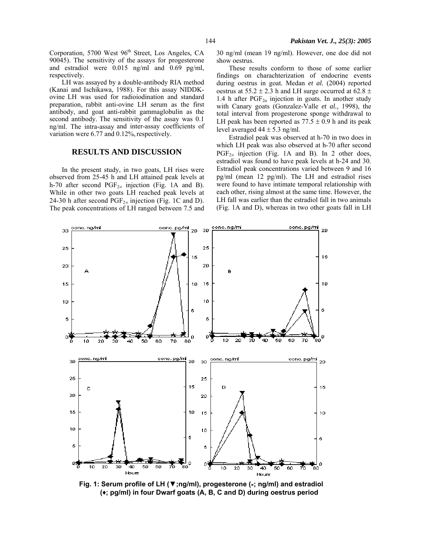LH was assayed by a double-antibody RIA method (Kanai and Ischikawa, 1988). For this assay NIDDKovine LH was used for radioiodination and standard preparation, rabbit anti-ovine LH serum as the first antibody, and goat anti-rabbit gammaglobulin as the second antibody. The sensitivity of the assay was 0.1 ng/ml. The intra-assay and inter-assay coefficients of variation were  $6.77$  and  $0.12\%$ , respectively.

#### **RESULTS AND DISCUSSION**

In the present study, in two goats, LH rises were observed from 25-45 h and LH attained peak levels at h-70 after second PGF<sub>2∞</sub> injection (Fig. 1A and B). While in other two goats LH reached peak levels at 24-30 h after second PGF<sub>2∝</sub> injection (Fig. 1C and D). The peak concentrations of LH ranged between 7.5 and 30 ng/ml (mean 19 ng/ml). However, one doe did not show oestrus.

These results conform to those of some earlier findings on charachterization of endocrine events during oestrus in goat. Medan *et al.* (2004) reported oestrus at  $55.2 \pm 2.3$  h and LH surge occurred at  $62.8 \pm$ 1.4 h after  $PGF_{2\alpha}$  injection in goats. In another study with Canary goats (Gonzalez-Valle *et al.,* 1998), the total interval from progesterone sponge withdrawal to LH peak has been reported as  $77.5 \pm 0.9$  h and its peak level averaged  $44 \pm 5.3$  ng/ml.

Estradiol peak was observed at h-70 in two does in which LH peak was also observed at h-70 after second  $PGF_{2\infty}$  injection (Fig. 1A and B). In 2 other does, estradiol was found to have peak levels at h-24 and 30. Estradiol peak concentrations varied between 9 and 16 pg/ml (mean 12 pg/ml). The LH and estradiol rises were found to have intimate temporal relationship with each other, rising almost at the same time. However, the LH fall was earlier than the estradiol fall in two animals (Fig. 1A and D), whereas in two other goats fall in LH



**Fig. 1: Serum profile of LH (▼;ng/ml), progesterone (\*; ng/ml) and estradiol (♦; pg/ml) in four Dwarf goats (A, B, C and D) during oestrus period**